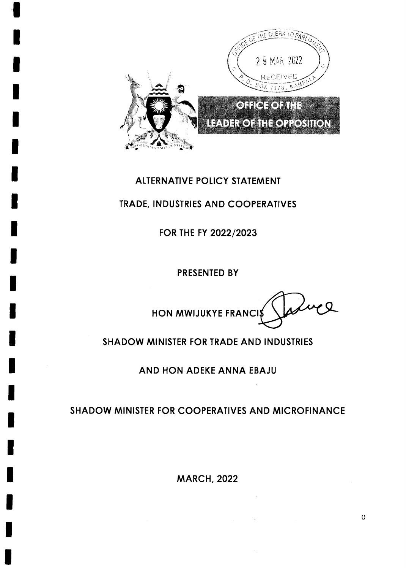

# ALTERNATIVE POLICY STATEMENT

## TRADE, INDUSTRIES AND COOPERATIVES

FOR THE FY 2022/2023

PRESENTED BY

Jasuel HON MWIJUKYE FRANCIS

## **SHADOW MINISTER FOR TRADE AND INDUSTRIES**

AND HON ADEKE ANNA EBAJU

## SHADOW MINISTER FOR COOPERATIVES AND MICROFINANCE

**MARCH, 2022** 

 $\mathbf{O}$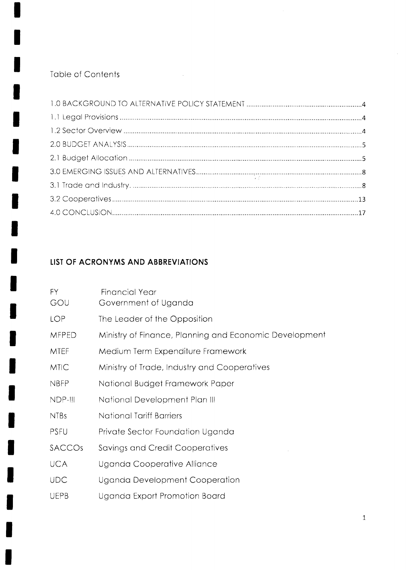## Table of Contents

I

H

 $\sim 10$ 

# LIST OF ACRONYMS AND ABBREVIATIONS

| FY.<br>GOU   | <b>Financial Year</b><br>Government of Uganda          |
|--------------|--------------------------------------------------------|
| <b>LOP</b>   | The Leader of the Opposition                           |
| <b>MFPED</b> | Ministry of Finance, Planning and Economic Development |
| <b>MTEF</b>  | Medium Term Expenditure Framework                      |
| <b>MTIC</b>  | Ministry of Trade, Industry and Cooperatives           |
| <b>NBFP</b>  | National Budget Framework Paper                        |
| NDP-III      | National Development Plan III                          |
| <b>NTBs</b>  | <b>National Tariff Barriers</b>                        |
| <b>PSFU</b>  | Private Sector Foundation Uganda                       |
| SACCOS       | Savings and Credit Cooperatives                        |
| <b>UCA</b>   | Uganda Cooperative Alliance                            |
| <b>UDC</b>   | Uganda Development Cooperation                         |
| <b>UEPB</b>  | Uganda Export Promotion Board                          |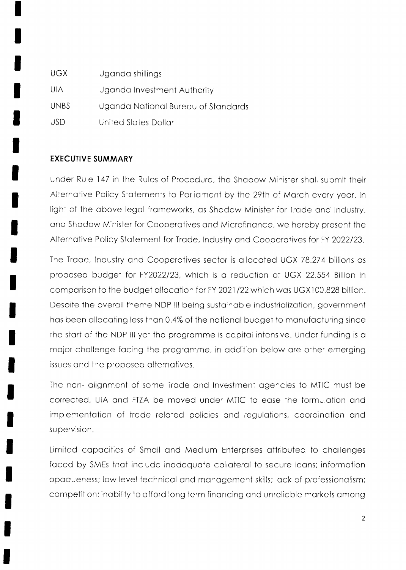| UGX.        | Uganda shillings                    |
|-------------|-------------------------------------|
| UIA         | Uganda Investment Authority         |
| <b>UNBS</b> | Uganda National Bureau of Standards |
| USD.        | United Slates Dollar                |

### **EXECUTIVE SUMMARY**

Under Rule 147 in the Rules of Procedure, the Shadow Minister shall submit their Alternative Policy Statements to Parliament by the 29th of March every year. In light of the above legal frameworks, as Shadow Minister for Trade and Industry, and Shadow Minister for Cooperatives and Microfinance, we hereby present the Alternative Policy Statement for Trade, Industry and Cooperatives for FY 2022/23.

The Trade, Industry and Cooperatives sector is allocated UGX 78.274 billions as proposed budget for FY2022/23, which is a reduction of UGX 22.554 Billion in comparison to the budget allocation for FY 2021/22 which was UGX100.828 billion. Despite the overall theme NDP III being sustainable industrialization, government has been allocating less than 0.4% of the national budget to manufacturing since the start of the NDP III yet the programme is capital intensive. Under funding is a major challenge facing the programme, in addition below are other emerging issues and the proposed alternatives.

The non- alignment of some Trade and Investment agencies to MTIC must be corrected, UIA and FTZA be moved under MTIC to ease the formulation and implementation of trade related policies and regulations, coordination and supervision.

Limited capacities of Small and Medium Enterprises attributed to challenges faced by SMEs that include inadequate collateral to secure loans; information opaqueness; low level technical and management skills; lack of professionalism; competition; inability to afford long term financing and unreliable markets among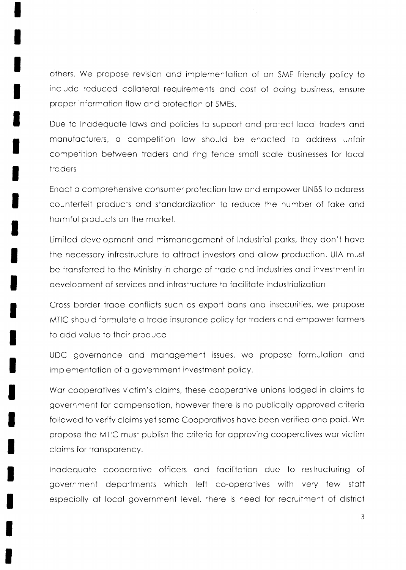others. We propose revision ond implementotion of on SME friendly policy to include reduced collateral requirements and cost of doing business, ensure proper information flow and protection of SMEs.

Due to Inadequate laws and policies to support and protect local traders and manufacturers, a competition law should be enacted to address unfair competition between troders ond ring fence smoll scole buslnesses for locol troders

Enact a comprehensive consumer protection law and empower UNBS to address counterfeit products and standardization to reduce the number of fake and hormful products on the morket.

Limited development and mismanagement of Industrial parks, they don't have the necessory infrostructure to ottroct investors ond ollow production. UIA must be transferred to the Ministry in charge of trade and industries and investment in development of services and infrastructure to facilitate industrialization

Cross border trade conflicts such as export bans and insecurities, we propose MTIC should formulate a trade insurance policy for traders and empower farmers to add value to their produce

UDC governonce ond monogement issues, we propose formulotion ond implementation of a government investment policy.

Wor cooperotives victim's cloims. these cooperotive unions lodged in cloims to government for compensotion, however there is no publicolly opproved criterio followed to verify claims yet some Cooperatives have been verified and paid. We propose the MTIC must publish the criterio for opproving cooperotives wor victim claims for transparency.

lnodequote cooperotive officers ond focilitotion due to restruciuring of government deportments which left co-operotives with very few stoff especially at local government level, there is need for recruitment of district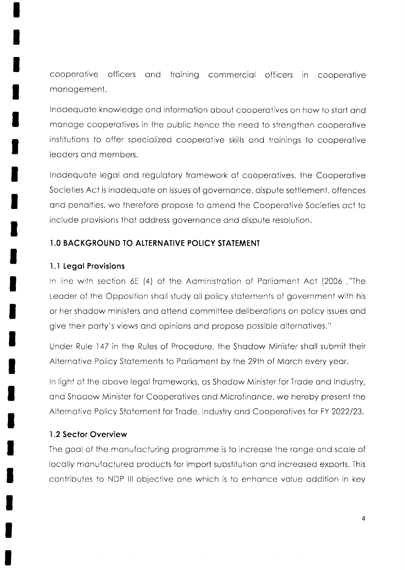cooperative officers and training commercial officers in cooperative management.

Inadequate knowledge and information about cooperatives on how to start and manage cooperatives in the public hence the need to strengthen cooperative institutions to offer specialized cooperative skills and trainings to cooperative leaders and members.

Inadequate legal and regulatory framework of cooperatives, the Cooperative Societies Act is inadequate on issues of governance, dispute settlement, offences and penalties, we therefore propose to amend the Cooperative Societies act to include provisions that address governance and dispute resolution.

## 1.0 BACKGROUND TO ALTERNATIVE POLICY STATEMENT

### 1.1 Legal Provisions

In line with section 6E (4) of the Administration of Parliament Act (2006,"The Leader of the Opposition shall study all policy statements of government with his or her shadow ministers and attend committee deliberations on policy issues and give their party's views and opinions and propose possible alternatives."

Under Rule 147 in the Rules of Procedure, the Shadow Minister shall submit their Alternative Policy Statements to Parliament by the 29th of March every year.

In light of the above legal frameworks, as Shadow Minister for Trade and Industry, and Shadow Minister for Cooperatives and Microfinance, we hereby present the Alternative Policy Statement for Trade, Industry and Cooperatives for FY 2022/23.

### 1.2 Sector Overview

The goal of the manufacturing programme is to increase the range and scale of locally manufactured products for import substitution and increased exports. This contributes to NDP III objective one which is to enhance value addition in key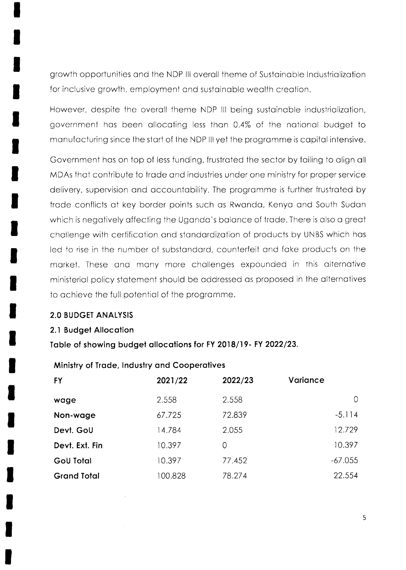growth opportunities and the NDP III overall theme of Sustainable Industrialization for inclusive growth, employment and sustainable wealth creation.

However, despite the overall theme NDP III being sustainable industrialization, government has been allocating less than 0.4% of the national budget to manufacturing since the start of the NDP III yet the programme is capital intensive.

Government has on top of less funding, frustrated the sector by failing to align all MDAs that contribute to trade and industries under one ministry for proper service delivery, supervision and accountability. The programme is further frustrated by trade conflicts at key border points such as Rwanda, Kenya and South Sudan which is negatively affecting the Uganda's balance of trade. There is also a great challenge with certification and standardization of products by UNBS which has led to rise in the number of substandard, counterfeit and fake products on the market. These and many more challenges expounded in this alternative ministerial policy statement should be addressed as proposed in the alternatives to achieve the full potential of the programme.

#### **2.0 BUDGET ANALYSIS**

#### 2.1 Budget Allocation

Table of showing budget allocations for FY 2018/19- FY 2022/23.

#### Ministry of Trade, Industry and Cooperatives

| <b>FY</b>          | 2021/22 | 2022/23 | Variance       |
|--------------------|---------|---------|----------------|
| wage               | 2.558   | 2.558   | $\overline{0}$ |
| Non-wage           | 67.725  | 72.839  | $-5.114$       |
| Devt. GoU          | 14.784  | 2.055   | 12.729         |
| Devt. Ext. Fin     | 10.397  | 0       | 10.397         |
| <b>GoU Total</b>   | 10.397  | 77.452  | $-67.055$      |
| <b>Grand Total</b> | 100.828 | 78.274  | 22.554         |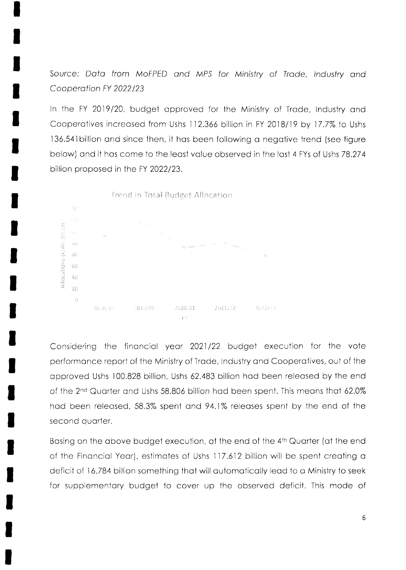Source: Data from MoFPED and MPS for Ministry of Trade, Industry and Cooperation FY 2022/23

In the FY 2019/20, budget approved for the Ministry of Trade, Industry and Cooperatives increased from Ushs 112.366 billion in FY 2018/19 by 17.7% to Ushs 136.541 billion and since then, it has been following a negative trend (see figure below) and it has come to the least value observed in the last 4 FYs of Ushs 78.274 billion proposed in the FY 2022/23.



Considering the financial year 2021/22 budget execution for the vote performance report of the Ministry of Trade, Industry and Cooperatives, out of the approved Ushs 100.828 billion, Ushs 62.483 billion had been released by the end of the 2<sup>nd</sup> Quarter and Ushs 58.806 billion had been spent. This means that 62.0% had been released, 58.3% spent and 94.1% releases spent by the end of the second quarter.

Basing on the above budget execution, at the end of the 4th Quarter (at the end of the Financial Year), estimates of Ushs 117.612 billion will be spent creating a deficit of 16.784 billion something that will automatically lead to a Ministry to seek for supplementary budget to cover up the observed deficit. This mode of

6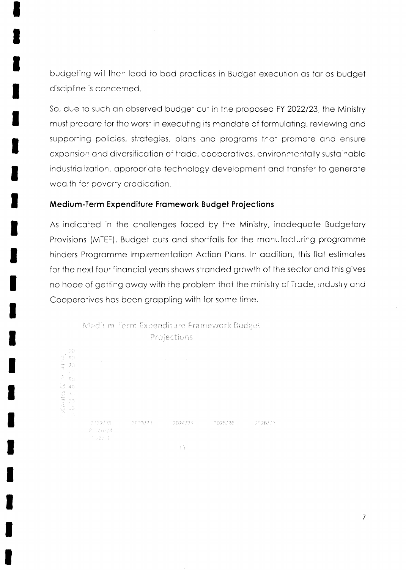budgeting will then lead to bad practices in Budget execution as far as budget discipline is concerned.

So, due to such an observed budget cut in the proposed FY 2022/23, the Ministry must prepare for the worst in executing its mandate of formulating, reviewing and supporting policies, strategies, plans and programs that promote and ensure expansion and diversification of trade, cooperatives, environmentally sustainable industrialization, appropriate technology development and transfer to generate wealth for poverty eradication.

#### Medium-Term Expenditure Framework Budget Projections

As indicated in the challenges faced by the Ministry, inadequate Budgetary Provisions (MTEF), Budget cuts and shortfalls for the manufacturing programme hinders Programme Implementation Action Plans. In addition, this flat estimates for the next four financial years shows stranded growth of the sector and this gives no hope of getting away with the problem that the ministry of Trade, Industry and Cooperatives has been grappling with for some time.

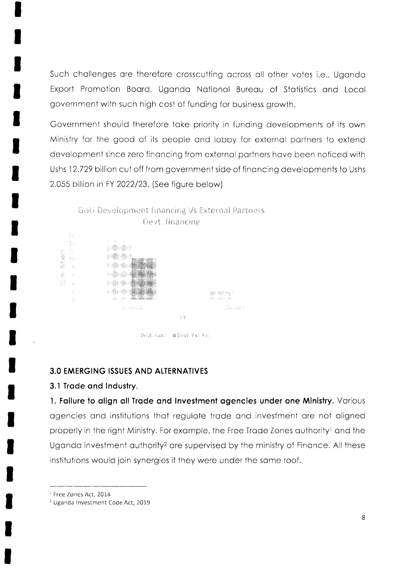Such challenges are therefore crosscutting across all other votes i.e., Uganda Export Promotion Board, Uganda National Bureau of Statistics and Local government with such high cost of funding for business growth.

Government should therefore take priority in funding developments of its own Ministry for the good of its people and lobby for external partners to extend development since zero financing from external partners have been noticed with Ushs 12.729 billion cut off from government side of financing developments to Ushs 2.055 billion in FY 2022/23. (See figure below)



#### **3.0 EMERGING ISSUES AND ALTERNATIVES**

#### 3.1 Trade and Industry.

1. Failure to align all Trade and Investment agencies under one Ministry. Various agencies and institutions that regulate trade and investment are not aligned properly in the right Ministry. For example, the Free Trade Zones authority<sup>1</sup> and the Uganda investment authority<sup>2</sup> are supervised by the ministry of Finance. All these institutions would join synergies if they were under the same roof.

<sup>1</sup> Free Zones Act, 2014

<sup>&</sup>lt;sup>2</sup> Uganda Investment Code Act, 2019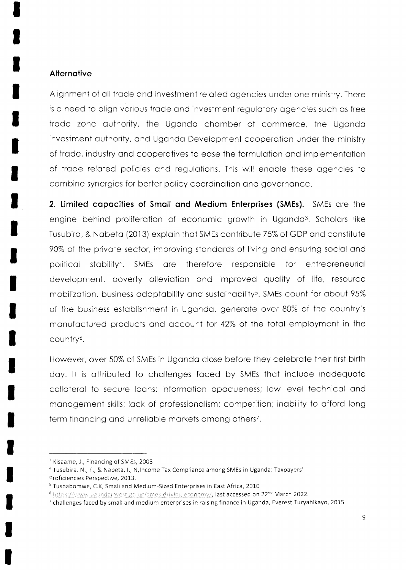#### Alternative

Alignment of all trade and investment related agencies under one ministry. There is a need to align various trade and investment regulatory agencies such as free trade zone authority, the Uganda chamber of commerce, the Uganda investment authority, and Uganda Development cooperation under the ministry of trade, industry and cooperatives to ease the formulation and implementation of trade related policies and requiations. This will enable these agencies to combine synergies for better policy coordination and governance.

2. Limited capacities of Small and Medium Enterprises (SMEs). SMEs are the engine behind proliferation of economic growth in Uganda<sup>3</sup>. Scholars like Tusubira, & Nabeta (2013) explain that SMEs contribute 75% of GDP and constitute 90% of the private sector, improving standards of living and ensuring social and political stability<sup>4</sup>. SMEs are therefore responsible for entrepreneurial development, poverty alleviation and improved quality of life, resource mobilization, business adaptability and sustainability<sup>5</sup>. SMEs count for about 95% of the business establishment in Uganda, generate over 80% of the country's manufactured products and account for 42% of the total employment in the country<sup>6</sup>.

However, over 50% of SMEs in Uganda close before they celebrate their first birth day. It is attributed to challenges faced by SMEs that include inadequate collateral to secure loans; information opaqueness; low level technical and management skills; lack of professionalism; competition; inability to afford long term financing and unreliable markets among others<sup>7</sup>.

<sup>&</sup>lt;sup>3</sup> Kisaame, J., Financing of SMEs, 2003

<sup>&</sup>lt;sup>4</sup> Tusubira, N., F., & Nabeta, I., N. Income Tax Compliance among SMEs in Uganda: Taxpayers' Proficiencies Perspective, 2013.

<sup>&</sup>lt;sup>5</sup> Tushabomwe, C.K, Small and Medium-Sized Enterprises in East Africa, 2010

<sup>&</sup>lt;sup>6</sup> https://www.ugandainvest.go.ug/smes-driving-economy/, last accessed on 22<sup>nd</sup> March 2022.

 $7$  challenges faced by small and medium enterprises in raising finance in Uganda, Everest Turyahikayo, 2015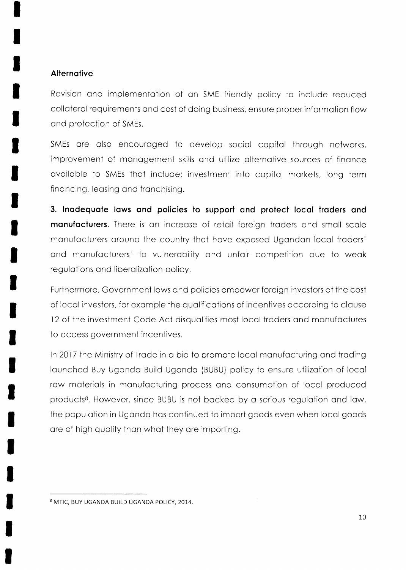### **Alternative**

Revision ond implementotion of on SME friendly policy to include reduced colloterol requirements ond cost of doing business, ensure proper informotion flow ond protection of SMEs.

SMEs are also encouraged to develop social capital through networks, improvement of management skills and utilize alternative sources of finance available to SMEs that include; investment into capital markets, long term finoncing, leosing ond fronchising.

3. lnodequote lows ond policies to support ond protect locql troders ond manufacturers. There is an increase of retail foreign traders and small scale monufocturers oround the country thot hove exposed Ugondon locol troders' and manufacturers' to vulnerability and unfair competition due to weak regulations and liberalization policy.

Furthermore, Government laws and policies empower foreign investors at the cost of Iocol investors, for exomple the quolificotions of incentives occording io clouse 12 of the investment Code Act disqualifies most local traders and manufactures to occess government incentives.

In 2017 the Ministry of Trade in a bid to promote local manufacturing and trading Iounched Buy Ugondo Build Ugondo (BUBU) policy to ensure utilizotion of locol row moteriols in monufocturing process ond consumption of locol produced products<sup>8</sup>. However, since BUBU is not backed by a serious regulation and law, the populotion in Ugondo hos continued 1o import goods even when locol goods are of high quality than what they are importing.

<sup>&</sup>lt;sup>8</sup> MTIC, BUY UGANDA BUILD UGANDA POLICY, 2014.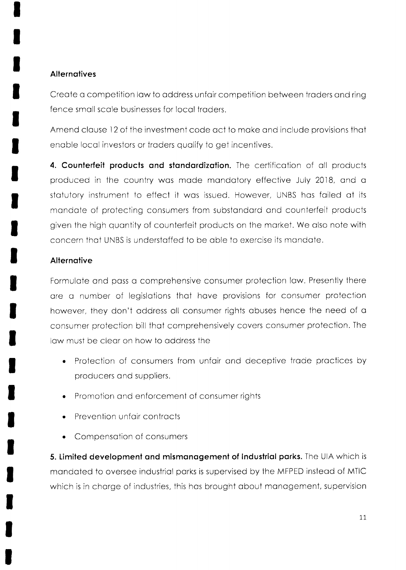## **Alternatives**

Create a competition law to address unfair competition between traders and ring fence smoll scole businesses for locol troders.

Amend clouse 12 of the investment code oct to moke ond include provisions thot enable local investors or traders qualify to get incentives.

4. Counterfeit products and standardization. The certification of all products produced in the country was made mandatory effective July 2018, and a stotutory instrument to effect it wos issued. However, UNBS hos foiled of its mandate of protecting consumers from substandard and counterfeit products given the high quontity of counterfeit products on the morket. We olso note with concern thot UNBS is understoffed to be oble to exercise its mondote.

## **Alternative**

Formulate and pass a comprehensive consumer protection law. Presently there are a number of legislations that have provisions for consumer protection however, they don't oddress oll consumer rights obuses hence the need of o consumer protection bill thot comprehensively covers consumer protection. The low must be cleor on how to oddress the

- . Protection of consumers from unfoir ond deceptive trode proctices by producers and suppliers.
- . Promotion ond enforcement of consumer rights
- Prevention unfair contracts
- . Compensotion of consumers

5. Limited development and mismanagement of Industrial parks. The UIA which is mandated to oversee industrial parks is supervised by the MFPED instead of MTIC which is in charge of industries, this has brought about management, supervision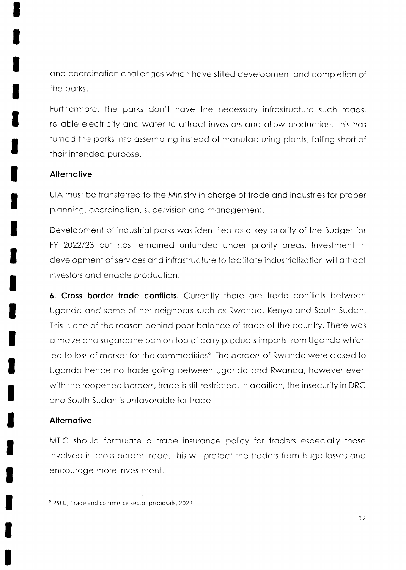ond coordinotion chollenges which hove stilled development ond completion of the porks.

Furthermore, the parks don't have the necessary infrastructure such roads, reliable electricity and water to attract investors and allow production. This has turned the porks into ossembling insteod of monufocturing plonts, folling short of their intended purpose,

### **Alternative**

UIA must be transferred to the Ministry in charge of trade and industries for proper plonning, coordinotion, supervision ond monogement.

Development of industriol porks wos identified os o key priority of the Budget for FY 2022/23 but has remained unfunded under priority areas. Investment in development of services and infrastructure to facilitate industrialization will attract investors ond enoble production.

6. Cross border trade conflicts. Currently there are trade conflicts between Ugondo ond some of her neighbors such os Rwondo, Kenyo ond South Sudon. This is one of the reason behind poor balance of trade of the country. There was o moize ond sugorccne bon on 1op of doiry products imports from Ugondo which led to loss of market for the commodities<sup>9</sup>. The borders of Rwanda were closed to Ugondo hence no trode going between Ugondo ond Rwondo, however even with the reopened borders, trade is still restricted. In addition, the insecurity in DRC ond South Sudon is unfovoroble for trode.

### **Alternative**

MTIC should formulate a trade insurance policy for traders especially those involved in cross border trade. This will protect the traders from huge losses and encouroge more investment.

<sup>&</sup>lt;sup>9</sup> PSFU, Trade and commerce sector proposals, 2022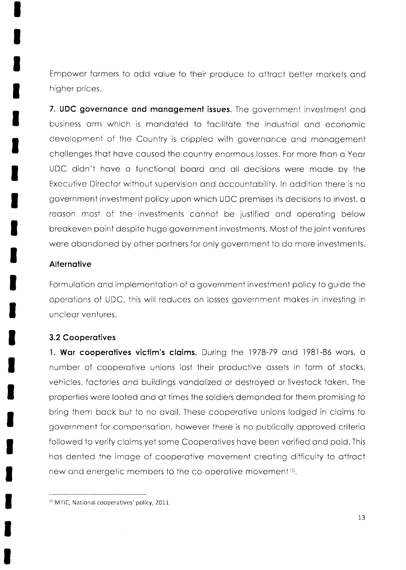Empower farmers to add value to their produce to attract better markets and higher prices.

7. UDC governance and management issues. The government investment and business arm which is mandated to facilitate the industrial and economic development of the Country is crippled with governance and management challenges that have caused the country enormous losses. For more than a Year UDC didn't have a functional board and all decisions were made by the Executive Director without supervision and accountability. In addition there is no government investment policy upon which UDC premises its decisions to invest, a reason most of the investments cannot be justified and operating below breakeven point despite huge government investments. Most of the joint ventures were abandoned by other partners for only government to do more investments.

#### **Alternative**

Formulation and implementation of a government investment policy to guide the operations of UDC, this will reduces on losses government makes in investing in unclear ventures.

#### **3.2 Cooperatives**

1. War cooperatives victim's claims. During the 1978-79 and 1981-86 wars, a number of cooperative unions lost their productive assets in form of stocks, vehicles, factories and buildings vandalized or destroyed or livestock taken. The properties were looted and at times the soldiers demanded for them promising to bring them back but to no avail. These cooperative unions lodged in claims to government for compensation, however there is no publically approved criteria followed to verify claims yet some Cooperatives have been verified and paid. This has dented the image of cooperative movement creating difficulty to attract new and energetic members to the co-operative movement<sup>10</sup>.

<sup>&</sup>lt;sup>10</sup> MTIC, National cooperatives' policy, 2011.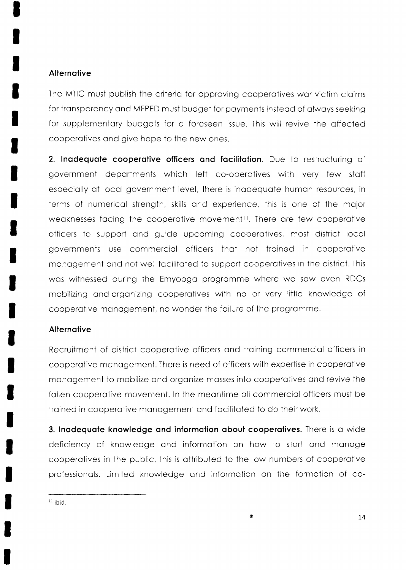### **Alternative**

The MTIC must publish the criterio for opproving cooperotives wor victim cloims for transparency and MFPED must budget for payments instead of always seeking for supplementory budgets for o foreseen issue. This will revive the offected cooperotives ond give hope to the new ones.

2. Inadequate cooperative officers and facilitation. Due to restructuring of government departments which left co-operatives with very few staff especiolly of locol government level, there is inodequote humon resources, in terms of numericol strength, skills ond experience. this is one of the mojor weaknesses facing the cooperative movement<sup>11</sup>. There are few cooperative officers to support ond guide upcoming cooperotives, most disirict locol governments use commerciol officers thot not troined in cooperotive monogement ond not well focilitoted to support cooperotives in the district. This wos witnessed during the Emyoogo progromme where we sow even RDCs mobilizing and organizing cooperatives with no or very little knowledge of cooperotive monogement, no wonder the foilure of the programme.

#### **Alternative**

Recruitment of district cooperative officers and training commercial officers in cooperotive monogement. There is need of officers with experiise in cooperotive monogement to mobilize ond orgonize mosses into cooperotives ond revive the follen cooperotive movement. ln the meontime oll commerciol officers must be trained in cooperative management and facilitated to do their work.

3. Inadequate knowledge and information about cooperatives. There is a wide deficiency of knowledge and information on how to start and manage cooperatives in the public, this is attributed to the low numbers of cooperative professionols. Limited knowledge ond informotion on the formotion of co-

 $11$  ibid.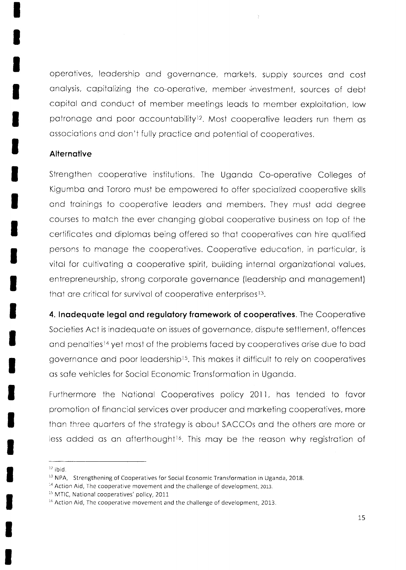operatives, leadership and governance, markets, supply sources and cost analysis, capitalizing the co-operative, member investment, sources of debt capital and conduct of member meetings leads to member exploitation, low patronage and poor accountability<sup>12</sup>. Most cooperative leaders run them as associations and don't fully practice and potential of cooperatives.

#### **Alternative**

Strengthen cooperative institutions. The Uganda Co-operative Colleges of Kigumba and Tororo must be empowered to offer specialized cooperative skills and trainings to cooperative leaders and members. They must add degree courses to match the ever changing global cooperative business on top of the certificates and diplomas being offered so that cooperatives can hire qualified persons to manage the cooperatives. Cooperative education, in particular, is vital for cultivating a cooperative spirit, building internal organizational values, entrepreneurship, strong corporate governance (leadership and management) that are critical for survival of cooperative enterprises<sup>13</sup>.

4. Inadequate legal and regulatory framework of cooperatives. The Cooperative Societies Act is inadequate on issues of governance, dispute settlement, offences and penalties<sup>14</sup> yet most of the problems faced by cooperatives arise due to bad governance and poor leadership<sup>15</sup>. This makes it difficult to rely on cooperatives as safe vehicles for Social Economic Transformation in Uganda.

Furthermore the National Cooperatives policy 2011, has tended to favor promotion of financial services over producer and marketing cooperatives, more than three quarters of the strategy is about SACCOs and the others are more or less added as an afterthought<sup>16</sup>. This may be the reason why registration of

 $12$  ibid.

<sup>&</sup>lt;sup>13</sup> NPA, Strengthening of Cooperatives for Social Economic Transformation in Uganda, 2018.

<sup>&</sup>lt;sup>14</sup> Action Aid, The cooperative movement and the challenge of development, 2013.

<sup>&</sup>lt;sup>15</sup> MTIC, National cooperatives' policy, 2011

<sup>&</sup>lt;sup>16</sup> Action Aid, The cooperative movement and the challenge of development, 2013.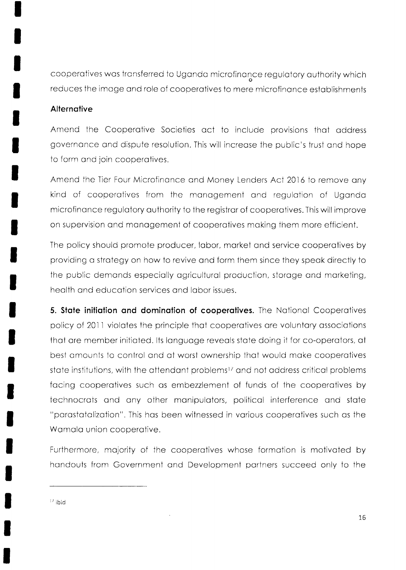cooperatives was transferred to Uganda microfinance regulatory authority which reduces the image and role of cooperatives to mere microfinance establishments

### Alternative

Amend the Cooperative Societies act to include provisions that address governance and dispute resolution. This will increase the public's trust and hope to form and join cooperatives.

Amend the Tier Four Microfinance and Money Lenders Act 2016 to remove any kind of cooperatives from the management and regulation of Uganda microfinance regulatory authority to the registrar of cooperatives. This will improve on supervision and management of cooperatives making them more efficient.

The policy should promote producer, labor, market and service cooperatives by providing a strategy on how to revive and form them since they speak directly to the public demands especially agricultural production, storage and marketing, health and education services and labor issues.

5. State initiation and domination of cooperatives. The National Cooperatives policy of 2011 violates the principle that cooperatives are voluntary associations that are member initiated. Its language reveals state doing it for co-operators, at best amounts to control and at worst ownership that would make cooperatives state institutions, with the attendant problems<sup>17</sup> and not address critical problems facing cooperatives such as embezzlement of funds of the cooperatives by technocrats and any other manipulators, political interference and state "parastatalization". This has been witnessed in various cooperatives such as the Wamala union cooperative.

Furthermore, majority of the cooperatives whose formation is motivated by handouts from Government and Development partners succeed only to the

<sup>17</sup> ibid